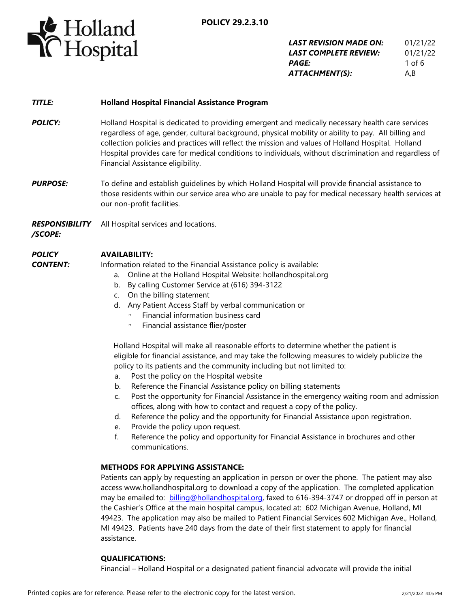

| LAST REVISION MADE ON:       | 01/21/22 |
|------------------------------|----------|
| <b>LAST COMPLETE REVIEW:</b> | 01/21/22 |
| <i><b>PAGE:</b></i>          | 1 of $6$ |
| ATTACHMENT(S):               | A,B      |

## *TITLE:* **Holland Hospital Financial Assistance Program**

- **POLICY:** Holland Hospital is dedicated to providing emergent and medically necessary health care services regardless of age, gender, cultural background, physical mobility or ability to pay. All billing and collection policies and practices will reflect the mission and values of Holland Hospital. Holland Hospital provides care for medical conditions to individuals, without discrimination and regardless of Financial Assistance eligibility.
- **PURPOSE:** To define and establish quidelines by which Holland Hospital will provide financial assistance to those residents within our service area who are unable to pay for medical necessary health services at our non-profit facilities.

*RESPONSIBILITY* All Hospital services and locations.

*/SCOPE:*

#### *POLICY*  **AVAILABILITY:**

*CONTENT:*

- Information related to the Financial Assistance policy is available:
	- a. Online at the Holland Hospital Website: hollandhospital.org
	- b. By calling Customer Service at (616) 394-3122
	- c. On the billing statement
	- d. Any Patient Access Staff by verbal communication or
		- Financial information business card
		- Financial assistance flier/poster

 Holland Hospital will make all reasonable efforts to determine whether the patient is eligible for financial assistance, and may take the following measures to widely publicize the policy to its patients and the community including but not limited to:

- a. Post the policy on the Hospital website
- b. Reference the Financial Assistance policy on billing statements
- c. Post the opportunity for Financial Assistance in the emergency waiting room and admission offices, along with how to contact and request a copy of the policy.
- d. Reference the policy and the opportunity for Financial Assistance upon registration.
- e. Provide the policy upon request.
- f. Reference the policy and opportunity for Financial Assistance in brochures and other communications.

## **METHODS FOR APPLYING ASSISTANCE:**

Patients can apply by requesting an application in person or over the phone. The patient may also access www.hollandhospital.org to download a copy of the application. The completed application may be emailed to: [billing@hollandhospital.org,](mailto:billing@hollandhospital.org) faxed to 616-394-3747 or dropped off in person at the Cashier's Office at the main hospital campus, located at: 602 Michigan Avenue, Holland, MI 49423. The application may also be mailed to Patient Financial Services 602 Michigan Ave., Holland, MI 49423. Patients have 240 days from the date of their first statement to apply for financial assistance.

#### **QUALIFICATIONS:**

Financial – Holland Hospital or a designated patient financial advocate will provide the initial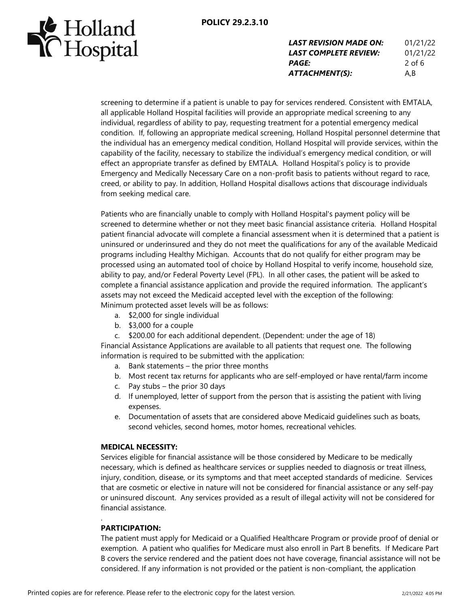

| <b>LAST REVISION MADE ON:</b> | 01/21/22 |
|-------------------------------|----------|
| LAST COMPLETE REVIEW:         | 01/21/22 |
| <b>PAGE:</b>                  | $2$ of 6 |
| ATTACHMENT(S):                | A,B      |

screening to determine if a patient is unable to pay for services rendered. Consistent with EMTALA, all applicable Holland Hospital facilities will provide an appropriate medical screening to any individual, regardless of ability to pay, requesting treatment for a potential emergency medical condition. If, following an appropriate medical screening, Holland Hospital personnel determine that the individual has an emergency medical condition, Holland Hospital will provide services, within the capability of the facility, necessary to stabilize the individual's emergency medical condition, or will effect an appropriate transfer as defined by EMTALA. Holland Hospital's policy is to provide Emergency and Medically Necessary Care on a non-profit basis to patients without regard to race, creed, or ability to pay. In addition, Holland Hospital disallows actions that discourage individuals from seeking medical care.

Patients who are financially unable to comply with Holland Hospital's payment policy will be screened to determine whether or not they meet basic financial assistance criteria. Holland Hospital patient financial advocate will complete a financial assessment when it is determined that a patient is uninsured or underinsured and they do not meet the qualifications for any of the available Medicaid programs including Healthy Michigan. Accounts that do not qualify for either program may be processed using an automated tool of choice by Holland Hospital to verify income, household size, ability to pay, and/or Federal Poverty Level (FPL). In all other cases, the patient will be asked to complete a financial assistance application and provide the required information. The applicant's assets may not exceed the Medicaid accepted level with the exception of the following: Minimum protected asset levels will be as follows:

- a. \$2,000 for single individual
- b. \$3,000 for a couple
- c. \$200.00 for each additional dependent. (Dependent: under the age of 18)

Financial Assistance Applications are available to all patients that request one. The following information is required to be submitted with the application:

- a. Bank statements the prior three months
- b. Most recent tax returns for applicants who are self-employed or have rental/farm income
- c. Pay stubs the prior 30 days
- d. If unemployed, letter of support from the person that is assisting the patient with living expenses.
- e. Documentation of assets that are considered above Medicaid guidelines such as boats, second vehicles, second homes, motor homes, recreational vehicles.

## **MEDICAL NECESSITY:**

Services eligible for financial assistance will be those considered by Medicare to be medically necessary, which is defined as healthcare services or supplies needed to diagnosis or treat illness, injury, condition, disease, or its symptoms and that meet accepted standards of medicine. Services that are cosmetic or elective in nature will not be considered for financial assistance or any self-pay or uninsured discount. Any services provided as a result of illegal activity will not be considered for financial assistance.

## **PARTICIPATION:**

.

The patient must apply for Medicaid or a Qualified Healthcare Program or provide proof of denial or exemption. A patient who qualifies for Medicare must also enroll in Part B benefits. If Medicare Part B covers the service rendered and the patient does not have coverage, financial assistance will not be considered. If any information is not provided or the patient is non-compliant, the application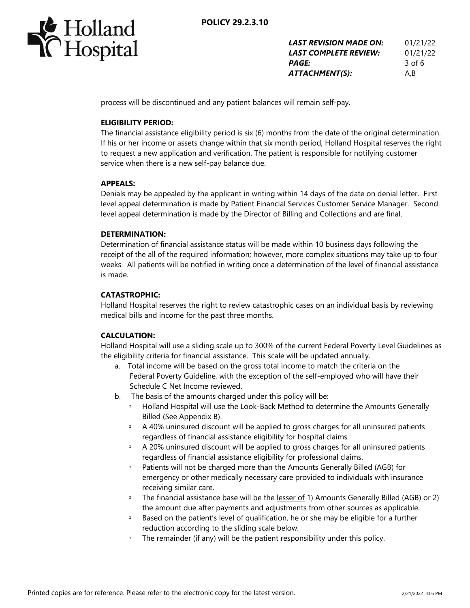



| <b>LAST REVISION MADE ON:</b> | 01/21/22 |
|-------------------------------|----------|
| LAST COMPLETE REVIEW:         | 01/21/22 |
| <b>PAGE:</b>                  | 3 of 6   |
| ATTACHMENT(S):                | A.B      |

process will be discontinued and any patient balances will remain self-pay.

## **ELIGIBILITY PERIOD:**

The financial assistance eligibility period is six (6) months from the date of the original determination. If his or her income or assets change within that six month period, Holland Hospital reserves the right to request a new application and verification. The patient is responsible for notifying customer service when there is a new self-pay balance due.

## **APPEALS:**

Denials may be appealed by the applicant in writing within 14 days of the date on denial letter. First level appeal determination is made by Patient Financial Services Customer Service Manager. Second level appeal determination is made by the Director of Billing and Collections and are final.

## **DETERMINATION:**

Determination of financial assistance status will be made within 10 business days following the receipt of the all of the required information; however, more complex situations may take up to four weeks. All patients will be notified in writing once a determination of the level of financial assistance is made.

## **CATASTROPHIC:**

Holland Hospital reserves the right to review catastrophic cases on an individual basis by reviewing medical bills and income for the past three months.

## **CALCULATION:**

Holland Hospital will use a sliding scale up to 300% of the current Federal Poverty Level Guidelines as the eligibility criteria for financial assistance. This scale will be updated annually.

- a. Total income will be based on the gross total income to match the criteria on the Federal Poverty Guideline, with the exception of the self-employed who will have their Schedule C Net Income reviewed.
- b. The basis of the amounts charged under this policy will be:
	- □ Holland Hospital will use the Look-Back Method to determine the Amounts Generally Billed (See Appendix B).
	- <sup>n</sup> A 40% uninsured discount will be applied to gross charges for all uninsured patients regardless of financial assistance eligibility for hospital claims.
	- A 20% uninsured discount will be applied to gross charges for all uninsured patients regardless of financial assistance eligibility for professional claims.
	- Patients will not be charged more than the Amounts Generally Billed (AGB) for emergency or other medically necessary care provided to individuals with insurance receiving similar care.
	- <sup>D</sup> The financial assistance base will be the lesser of 1) Amounts Generally Billed (AGB) or 2) the amount due after payments and adjustments from other sources as applicable.
	- **Based on the patient's level of qualification, he or she may be eligible for a further** reduction according to the sliding scale below.
	- <sup>D</sup> The remainder (if any) will be the patient responsibility under this policy.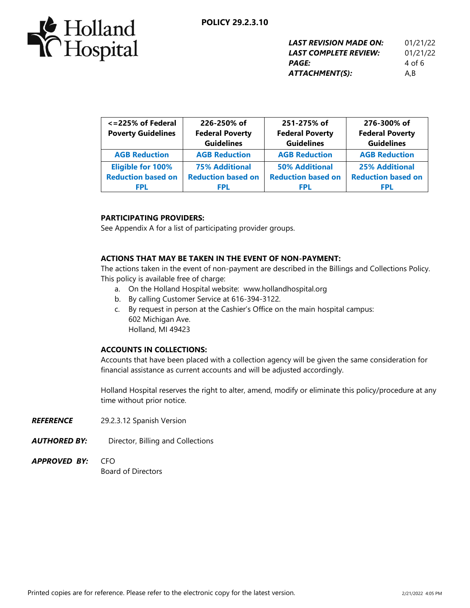

| <b>LAST REVISION MADE ON:</b> | 01/21/22 |
|-------------------------------|----------|
| LAST COMPLETE REVIEW:         | 01/21/22 |
| <b>PAGE:</b>                  | 4 of 6   |
| ATTACHMENT(S):                | A,B      |

| <= 225% of Federal<br><b>Poverty Guidelines</b> | 226-250% of<br><b>Federal Poverty</b><br><b>Guidelines</b> | 251-275% of<br><b>Federal Poverty</b><br><b>Guidelines</b> | 276-300% of<br><b>Federal Poverty</b><br><b>Guidelines</b> |
|-------------------------------------------------|------------------------------------------------------------|------------------------------------------------------------|------------------------------------------------------------|
| <b>AGB Reduction</b>                            | <b>AGB Reduction</b>                                       | <b>AGB Reduction</b>                                       | <b>AGB Reduction</b>                                       |
| <b>Eligible for 100%</b>                        | <b>75% Additional</b>                                      | <b>50% Additional</b>                                      | <b>25% Additional</b>                                      |
| <b>Reduction based on</b>                       | <b>Reduction based on</b>                                  | <b>Reduction based on</b>                                  | <b>Reduction based on</b>                                  |
| FPL                                             | FPL                                                        | <b>FPL</b>                                                 | FPL                                                        |

## **PARTICIPATING PROVIDERS:**

See Appendix A for a list of participating provider groups.

## **ACTIONS THAT MAY BE TAKEN IN THE EVENT OF NON-PAYMENT:**

The actions taken in the event of non-payment are described in the Billings and Collections Policy. This policy is available free of charge:

- a. On the Holland Hospital website: www.hollandhospital.org
- b. By calling Customer Service at 616-394-3122.
- c. By request in person at the Cashier's Office on the main hospital campus: 602 Michigan Ave. Holland, MI 49423

#### **ACCOUNTS IN COLLECTIONS:**

Accounts that have been placed with a collection agency will be given the same consideration for financial assistance as current accounts and will be adjusted accordingly.

Holland Hospital reserves the right to alter, amend, modify or eliminate this policy/procedure at any time without prior notice.

- *REFERENCE* 29.2.3.12 Spanish Version
- **AUTHORED BY:** Director, Billing and Collections
- *APPROVED BY:* CFO Board of Directors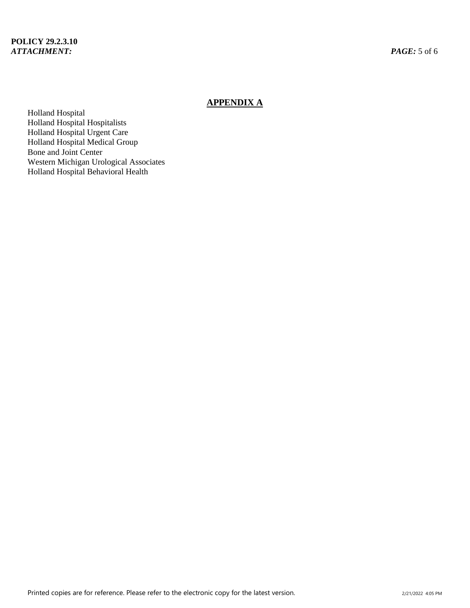# **APPENDIX A**

Holland Hospital Holland Hospital Hospitalists Holland Hospital Urgent Care Holland Hospital Medical Group Bone and Joint Center Western Michigan Urological Associates Holland Hospital Behavioral Health